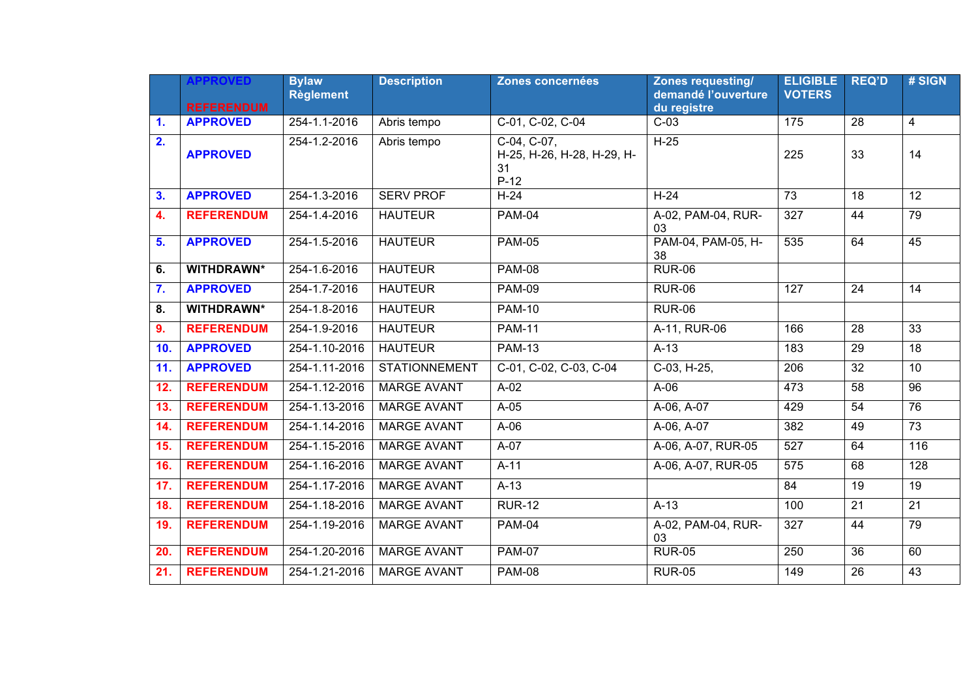|     | <b>APPROVED</b><br><b>REFERENDUM</b> | <b>Bylaw</b><br><b>Règlement</b> | <b>Description</b>   | Zones concernées                                            | Zones requesting/<br>demandé l'ouverture<br>du registre | <b>ELIGIBLE</b><br><b>VOTERS</b> | <b>REQ'D</b>    | # SIGN          |
|-----|--------------------------------------|----------------------------------|----------------------|-------------------------------------------------------------|---------------------------------------------------------|----------------------------------|-----------------|-----------------|
| 1.  | <b>APPROVED</b>                      | 254-1.1-2016                     | Abris tempo          | C-01, C-02, C-04                                            | $C-03$                                                  | 175                              | 28              | 4               |
| 2.  | <b>APPROVED</b>                      | 254-1.2-2016                     | Abris tempo          | $C-04, C-07,$<br>H-25, H-26, H-28, H-29, H-<br>31<br>$P-12$ | $H-25$                                                  | 225                              | 33              | 14              |
| 3.  | <b>APPROVED</b>                      | 254-1.3-2016                     | <b>SERV PROF</b>     | $H-24$                                                      | $H-24$                                                  | $\overline{73}$                  | 18              | 12              |
| 4.  | <b>REFERENDUM</b>                    | 254-1.4-2016                     | <b>HAUTEUR</b>       | <b>PAM-04</b>                                               | A-02, PAM-04, RUR-<br>03                                | 327                              | 44              | 79              |
| 5.  | <b>APPROVED</b>                      | 254-1.5-2016                     | <b>HAUTEUR</b>       | <b>PAM-05</b>                                               | PAM-04, PAM-05, H-<br>38                                | 535                              | 64              | 45              |
| 6.  | <b>WITHDRAWN*</b>                    | 254-1.6-2016                     | <b>HAUTEUR</b>       | <b>PAM-08</b>                                               | <b>RUR-06</b>                                           |                                  |                 |                 |
| 7.  | <b>APPROVED</b>                      | 254-1.7-2016                     | <b>HAUTEUR</b>       | <b>PAM-09</b>                                               | <b>RUR-06</b>                                           | $\overline{127}$                 | $\overline{24}$ | 14              |
| 8.  | <b>WITHDRAWN*</b>                    | 254-1.8-2016                     | <b>HAUTEUR</b>       | <b>PAM-10</b>                                               | <b>RUR-06</b>                                           |                                  |                 |                 |
| 9.  | <b>REFERENDUM</b>                    | 254-1.9-2016                     | <b>HAUTEUR</b>       | <b>PAM-11</b>                                               | A-11, RUR-06                                            | 166                              | $\overline{28}$ | $\overline{33}$ |
| 10. | <b>APPROVED</b>                      | 254-1.10-2016                    | <b>HAUTEUR</b>       | <b>PAM-13</b>                                               | $A-13$                                                  | 183                              | 29              | 18              |
| 11. | <b>APPROVED</b>                      | 254-1.11-2016                    | <b>STATIONNEMENT</b> | C-01, C-02, C-03, C-04                                      | $C-03, H-25,$                                           | 206                              | $\overline{32}$ | 10              |
| 12. | <b>REFERENDUM</b>                    | 254-1.12-2016                    | <b>MARGE AVANT</b>   | $A-02$                                                      | $A-06$                                                  | 473                              | $\overline{58}$ | $\overline{96}$ |
| 13. | <b>REFERENDUM</b>                    | 254-1.13-2016                    | <b>MARGE AVANT</b>   | $A-05$                                                      | A-06, A-07                                              | 429                              | $\overline{54}$ | 76              |
| 14. | <b>REFERENDUM</b>                    | 254-1.14-2016                    | <b>MARGE AVANT</b>   | $A-06$                                                      | A-06, A-07                                              | 382                              | 49              | $\overline{73}$ |
| 15. | <b>REFERENDUM</b>                    | 254-1.15-2016                    | <b>MARGE AVANT</b>   | $A-07$                                                      | A-06, A-07, RUR-05                                      | 527                              | 64              | 116             |
| 16. | <b>REFERENDUM</b>                    | 254-1.16-2016                    | <b>MARGE AVANT</b>   | $A-11$                                                      | A-06, A-07, RUR-05                                      | 575                              | 68              | 128             |
| 17. | <b>REFERENDUM</b>                    | 254-1.17-2016                    | <b>MARGE AVANT</b>   | $A-13$                                                      |                                                         | 84                               | 19              | 19              |
| 18. | <b>REFERENDUM</b>                    | 254-1.18-2016                    | <b>MARGE AVANT</b>   | <b>RUR-12</b>                                               | $A-13$                                                  | 100                              | 21              | $\overline{21}$ |
| 19. | <b>REFERENDUM</b>                    | 254-1.19-2016                    | <b>MARGE AVANT</b>   | <b>PAM-04</b>                                               | A-02, PAM-04, RUR-<br>03                                | 327                              | 44              | 79              |
| 20. | <b>REFERENDUM</b>                    | 254-1.20-2016                    | <b>MARGE AVANT</b>   | <b>PAM-07</b>                                               | <b>RUR-05</b>                                           | 250                              | $\overline{36}$ | 60              |
| 21. | <b>REFERENDUM</b>                    | 254-1.21-2016                    | <b>MARGE AVANT</b>   | <b>PAM-08</b>                                               | <b>RUR-05</b>                                           | 149                              | $\overline{26}$ | 43              |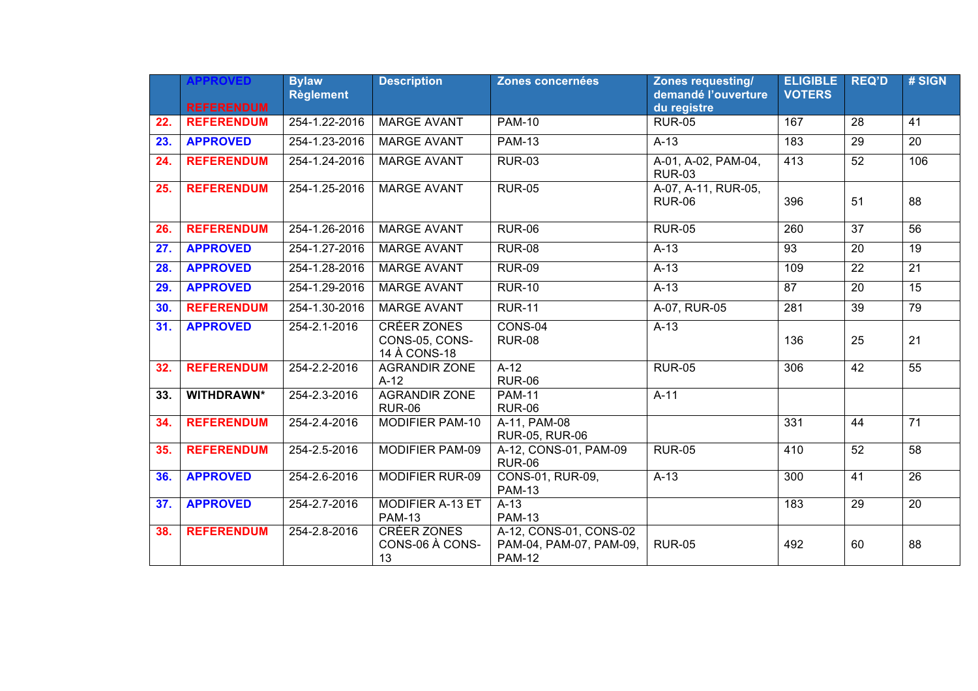|     | <b>APPROVED</b>   | <b>Bylaw</b><br><b>Règlement</b> | <b>Description</b>                                   | Zones concernées                                                   | <b>Zones requesting/</b><br>demandé l'ouverture | <b>ELIGIBLE</b><br><b>VOTERS</b> | <b>REQ'D</b>    | # SIGN          |
|-----|-------------------|----------------------------------|------------------------------------------------------|--------------------------------------------------------------------|-------------------------------------------------|----------------------------------|-----------------|-----------------|
|     | <b>REFERENDUM</b> |                                  |                                                      |                                                                    | du registre                                     |                                  |                 |                 |
| 22. | <b>REFERENDUM</b> | 254-1.22-2016                    | <b>MARGE AVANT</b>                                   | $PAM-10$                                                           | <b>RUR-05</b>                                   | 167                              | 28              | 41              |
| 23. | <b>APPROVED</b>   | 254-1.23-2016                    | <b>MARGE AVANT</b>                                   | <b>PAM-13</b>                                                      | $A-13$                                          | 183                              | 29              | 20              |
| 24. | <b>REFERENDUM</b> | 254-1.24-2016                    | <b>MARGE AVANT</b>                                   | <b>RUR-03</b>                                                      | A-01, A-02, PAM-04,<br><b>RUR-03</b>            | 413                              | 52              | 106             |
| 25. | <b>REFERENDUM</b> | 254-1.25-2016                    | <b>MARGE AVANT</b>                                   | <b>RUR-05</b>                                                      | A-07, A-11, RUR-05,<br><b>RUR-06</b>            | 396                              | 51              | 88              |
| 26. | <b>REFERENDUM</b> | 254-1.26-2016                    | <b>MARGE AVANT</b>                                   | <b>RUR-06</b>                                                      | <b>RUR-05</b>                                   | 260                              | $\overline{37}$ | 56              |
| 27. | <b>APPROVED</b>   | 254-1.27-2016                    | <b>MARGE AVANT</b>                                   | <b>RUR-08</b>                                                      | $A-13$                                          | $\overline{93}$                  | 20              | 19              |
| 28. | <b>APPROVED</b>   | 254-1.28-2016                    | <b>MARGE AVANT</b>                                   | <b>RUR-09</b>                                                      | $A-13$                                          | 109                              | $\overline{22}$ | 21              |
| 29. | <b>APPROVED</b>   | 254-1.29-2016                    | <b>MARGE AVANT</b>                                   | <b>RUR-10</b>                                                      | $A-13$                                          | $\overline{87}$                  | $\overline{20}$ | 15              |
| 30. | <b>REFERENDUM</b> | 254-1.30-2016                    | <b>MARGE AVANT</b>                                   | <b>RUR-11</b>                                                      | A-07, RUR-05                                    | $\overline{281}$                 | $\overline{39}$ | 79              |
| 31. | <b>APPROVED</b>   | 254-2.1-2016                     | <b>CRÉER ZONES</b><br>CONS-05, CONS-<br>14 À CONS-18 | CONS-04<br><b>RUR-08</b>                                           | $A-13$                                          | 136                              | 25              | 21              |
| 32. | <b>REFERENDUM</b> | 254-2.2-2016                     | <b>AGRANDIR ZONE</b><br>$A-12$                       | $A-12$<br><b>RUR-06</b>                                            | <b>RUR-05</b>                                   | 306                              | 42              | $\overline{55}$ |
| 33. | <b>WITHDRAWN*</b> | 254-2.3-2016                     | <b>AGRANDIR ZONE</b><br><b>RUR-06</b>                | <b>PAM-11</b><br><b>RUR-06</b>                                     | $A-11$                                          |                                  |                 |                 |
| 34. | <b>REFERENDUM</b> | 254-2.4-2016                     | <b>MODIFIER PAM-10</b>                               | A-11, PAM-08<br><b>RUR-05, RUR-06</b>                              |                                                 | 331                              | 44              | $\overline{71}$ |
| 35. | <b>REFERENDUM</b> | 254-2.5-2016                     | <b>MODIFIER PAM-09</b>                               | A-12, CONS-01, PAM-09<br><b>RUR-06</b>                             | <b>RUR-05</b>                                   | 410                              | 52              | $\overline{58}$ |
| 36. | <b>APPROVED</b>   | 254-2.6-2016                     | <b>MODIFIER RUR-09</b>                               | <b>CONS-01, RUR-09,</b><br><b>PAM-13</b>                           | $A-13$                                          | 300                              | 41              | 26              |
| 37. | <b>APPROVED</b>   | 254-2.7-2016                     | <b>MODIFIER A-13 ET</b><br><b>PAM-13</b>             | $A-13$<br><b>PAM-13</b>                                            |                                                 | 183                              | 29              | 20              |
| 38. | <b>REFERENDUM</b> | 254-2.8-2016                     | <b>CRÉER ZONES</b><br>CONS-06 À CONS-<br>13          | A-12, CONS-01, CONS-02<br>PAM-04, PAM-07, PAM-09,<br><b>PAM-12</b> | <b>RUR-05</b>                                   | 492                              | 60              | 88              |